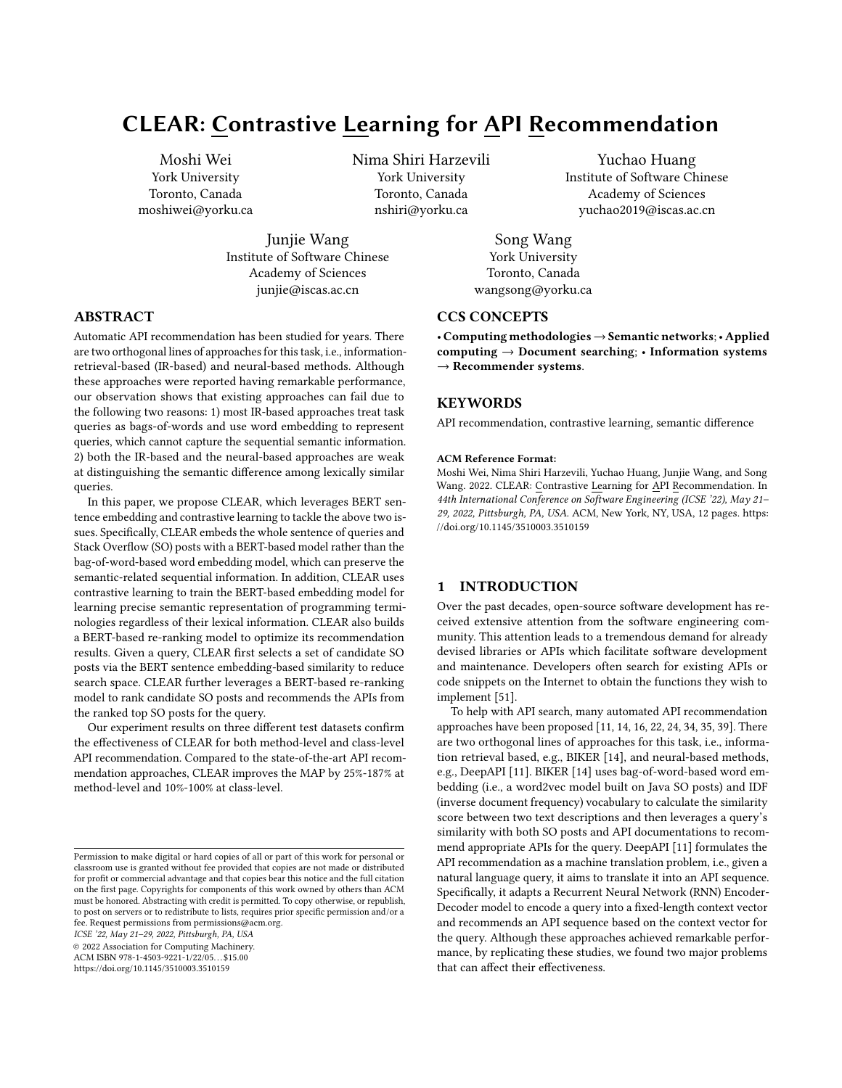# CLEAR: Contrastive Learning for API Recommendation

Moshi Wei York University Toronto, Canada moshiwei@yorku.ca

> Junjie Wang Institute of Software Chinese Academy of Sciences junjie@iscas.ac.cn

Nima Shiri Harzevili York University Toronto, Canada nshiri@yorku.ca

Yuchao Huang Institute of Software Chinese Academy of Sciences yuchao2019@iscas.ac.cn

Song Wang York University Toronto, Canada wangsong@yorku.ca

# CCS CONCEPTS

• Computing methodologies→Semantic networks;• Applied computing  $\rightarrow$  Document searching; • Information systems  $\rightarrow$  Recommender systems.

## **KEYWORDS**

API recommendation, contrastive learning, semantic difference

#### ACM Reference Format:

Moshi Wei, Nima Shiri Harzevili, Yuchao Huang, Junjie Wang, and Song Wang. 2022. CLEAR: Contrastive Learning for API Recommendation. In 44th International Conference on Software Engineering (ICSE '22), May 21– 29, 2022, Pittsburgh, PA, USA. ACM, New York, NY, USA, [12](#page-11-0) pages. [https:](https://doi.org/10.1145/3510003.3510159) [//doi.org/10.1145/3510003.3510159](https://doi.org/10.1145/3510003.3510159)

## 1 INTRODUCTION

Over the past decades, open-source software development has received extensive attention from the software engineering community. This attention leads to a tremendous demand for already devised libraries or APIs which facilitate software development and maintenance. Developers often search for existing APIs or code snippets on the Internet to obtain the functions they wish to implement [\[51\]](#page-11-1).

To help with API search, many automated API recommendation approaches have been proposed [\[11,](#page-10-0) [14,](#page-10-1) [16,](#page-10-2) [22,](#page-10-3) [24,](#page-11-2) [34,](#page-11-3) [35,](#page-11-4) [39\]](#page-11-5). There are two orthogonal lines of approaches for this task, i.e., information retrieval based, e.g., BIKER [\[14\]](#page-10-1), and neural-based methods, e.g., DeepAPI [\[11\]](#page-10-0). BIKER [\[14\]](#page-10-1) uses bag-of-word-based word embedding (i.e., a word2vec model built on Java SO posts) and IDF (inverse document frequency) vocabulary to calculate the similarity score between two text descriptions and then leverages a query's similarity with both SO posts and API documentations to recommend appropriate APIs for the query. DeepAPI [\[11\]](#page-10-0) formulates the API recommendation as a machine translation problem, i.e., given a natural language query, it aims to translate it into an API sequence. Specifically, it adapts a Recurrent Neural Network (RNN) Encoder-Decoder model to encode a query into a fixed-length context vector and recommends an API sequence based on the context vector for the query. Although these approaches achieved remarkable performance, by replicating these studies, we found two major problems that can affect their effectiveness.

# ABSTRACT

Automatic API recommendation has been studied for years. There are two orthogonal lines of approaches for this task, i.e., informationretrieval-based (IR-based) and neural-based methods. Although these approaches were reported having remarkable performance, our observation shows that existing approaches can fail due to the following two reasons: 1) most IR-based approaches treat task queries as bags-of-words and use word embedding to represent queries, which cannot capture the sequential semantic information. 2) both the IR-based and the neural-based approaches are weak at distinguishing the semantic difference among lexically similar queries.

In this paper, we propose CLEAR, which leverages BERT sentence embedding and contrastive learning to tackle the above two issues. Specifically, CLEAR embeds the whole sentence of queries and Stack Overflow (SO) posts with a BERT-based model rather than the bag-of-word-based word embedding model, which can preserve the semantic-related sequential information. In addition, CLEAR uses contrastive learning to train the BERT-based embedding model for learning precise semantic representation of programming terminologies regardless of their lexical information. CLEAR also builds a BERT-based re-ranking model to optimize its recommendation results. Given a query, CLEAR first selects a set of candidate SO posts via the BERT sentence embedding-based similarity to reduce search space. CLEAR further leverages a BERT-based re-ranking model to rank candidate SO posts and recommends the APIs from the ranked top SO posts for the query.

Our experiment results on three different test datasets confirm the effectiveness of CLEAR for both method-level and class-level API recommendation. Compared to the state-of-the-art API recommendation approaches, CLEAR improves the MAP by 25%-187% at method-level and 10%-100% at class-level.

ICSE '22, May 21–29, 2022, Pittsburgh, PA, USA

© 2022 Association for Computing Machinery.

ACM ISBN 978-1-4503-9221-1/22/05. . . \$15.00

<https://doi.org/10.1145/3510003.3510159>

Permission to make digital or hard copies of all or part of this work for personal or classroom use is granted without fee provided that copies are not made or distributed for profit or commercial advantage and that copies bear this notice and the full citation on the first page. Copyrights for components of this work owned by others than ACM must be honored. Abstracting with credit is permitted. To copy otherwise, or republish, to post on servers or to redistribute to lists, requires prior specific permission and/or a fee. Request permissions from permissions@acm.org.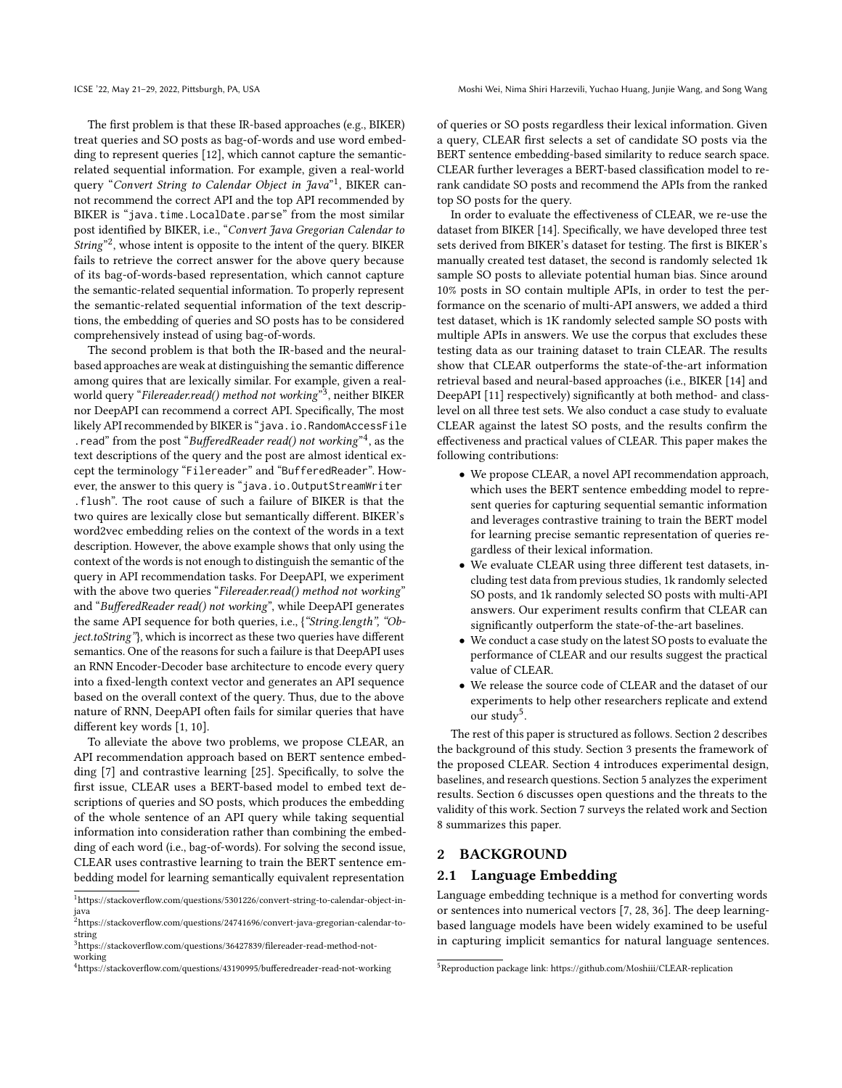The first problem is that these IR-based approaches (e.g., BIKER) treat queries and SO posts as bag-of-words and use word embedding to represent queries [\[12\]](#page-10-4), which cannot capture the semanticrelated sequential information. For example, given a real-world query "Convert String to Calendar Object in Java"<sup>[1](#page-1-0)</sup>, BIKER cannot recommend the correct API and the top API recommended by BIKER is "java.time.LocalDate.parse" from the most similar post identified by BIKER, i.e., "Convert Java Gregorian Calendar to String"<sup>[2](#page-1-1)</sup>, whose intent is opposite to the intent of the query. BIKER fails to retrieve the correct answer for the above query because of its bag-of-words-based representation, which cannot capture the semantic-related sequential information. To properly represent the semantic-related sequential information of the text descriptions, the embedding of queries and SO posts has to be considered comprehensively instead of using bag-of-words.

The second problem is that both the IR-based and the neuralbased approaches are weak at distinguishing the semantic difference among quires that are lexically similar. For example, given a real-world query "Filereader.read() method not working"<sup>[3](#page-1-2)</sup>, neither BIKER nor DeepAPI can recommend a correct API. Specifically, The most likely API recommended by BIKER is "java.io.RandomAccessFile . read" from the post "BufferedReader read() not working"<sup>[4](#page-1-3)</sup>, as the text descriptions of the query and the post are almost identical except the terminology "Filereader" and "BufferedReader". However, the answer to this query is "java.io.OutputStreamWriter .flush". The root cause of such a failure of BIKER is that the two quires are lexically close but semantically different. BIKER's word2vec embedding relies on the context of the words in a text description. However, the above example shows that only using the context of the words is not enough to distinguish the semantic of the query in API recommendation tasks. For DeepAPI, we experiment with the above two queries "Filereader.read() method not working" and "BufferedReader read() not working", while DeepAPI generates the same API sequence for both queries, i.e., {"String.length", "Object.toString"}, which is incorrect as these two queries have different semantics. One of the reasons for such a failure is that DeepAPI uses an RNN Encoder-Decoder base architecture to encode every query into a fixed-length context vector and generates an API sequence based on the overall context of the query. Thus, due to the above nature of RNN, DeepAPI often fails for similar queries that have different key words [\[1,](#page-10-5) [10\]](#page-10-6).

To alleviate the above two problems, we propose CLEAR, an API recommendation approach based on BERT sentence embedding [\[7\]](#page-10-7) and contrastive learning [\[25\]](#page-11-6). Specifically, to solve the first issue, CLEAR uses a BERT-based model to embed text descriptions of queries and SO posts, which produces the embedding of the whole sentence of an API query while taking sequential information into consideration rather than combining the embedding of each word (i.e., bag-of-words). For solving the second issue, CLEAR uses contrastive learning to train the BERT sentence embedding model for learning semantically equivalent representation

of queries or SO posts regardless their lexical information. Given a query, CLEAR first selects a set of candidate SO posts via the BERT sentence embedding-based similarity to reduce search space. CLEAR further leverages a BERT-based classification model to rerank candidate SO posts and recommend the APIs from the ranked top SO posts for the query.

In order to evaluate the effectiveness of CLEAR, we re-use the dataset from BIKER [\[14\]](#page-10-1). Specifically, we have developed three test sets derived from BIKER's dataset for testing. The first is BIKER's manually created test dataset, the second is randomly selected 1k sample SO posts to alleviate potential human bias. Since around 10% posts in SO contain multiple APIs, in order to test the performance on the scenario of multi-API answers, we added a third test dataset, which is 1K randomly selected sample SO posts with multiple APIs in answers. We use the corpus that excludes these testing data as our training dataset to train CLEAR. The results show that CLEAR outperforms the state-of-the-art information retrieval based and neural-based approaches (i.e., BIKER [\[14\]](#page-10-1) and DeepAPI [\[11\]](#page-10-0) respectively) significantly at both method- and classlevel on all three test sets. We also conduct a case study to evaluate CLEAR against the latest SO posts, and the results confirm the effectiveness and practical values of CLEAR. This paper makes the following contributions:

- We propose CLEAR, a novel API recommendation approach, which uses the BERT sentence embedding model to represent queries for capturing sequential semantic information and leverages contrastive training to train the BERT model for learning precise semantic representation of queries regardless of their lexical information.
- We evaluate CLEAR using three different test datasets, including test data from previous studies, 1k randomly selected SO posts, and 1k randomly selected SO posts with multi-API answers. Our experiment results confirm that CLEAR can significantly outperform the state-of-the-art baselines.
- We conduct a case study on the latest SO posts to evaluate the performance of CLEAR and our results suggest the practical value of CLEAR.
- We release the source code of CLEAR and the dataset of our experiments to help other researchers replicate and extend our study<sup>[5](#page-1-4)</sup>.

The rest of this paper is structured as follows. Section [2](#page-1-5) describes the background of this study. Section [3](#page-2-0) presents the framework of the proposed CLEAR. Section [4](#page-4-0) introduces experimental design, baselines, and research questions. Section [5](#page-6-0) analyzes the experiment results. Section [6](#page-8-0) discusses open questions and the threats to the validity of this work. Section [7](#page-9-0) surveys the related work and Section [8](#page-10-8) summarizes this paper.

# <span id="page-1-5"></span>2 BACKGROUND

## 2.1 Language Embedding

Language embedding technique is a method for converting words or sentences into numerical vectors [\[7,](#page-10-7) [28,](#page-11-7) [36\]](#page-11-8). The deep learningbased language models have been widely examined to be useful in capturing implicit semantics for natural language sentences.

<span id="page-1-0"></span> $1$ https://stackoverflow.com/questions/5301226/convert-string-to-calendar-object-injava

<span id="page-1-1"></span><sup>2</sup>https://stackoverflow.com/questions/24741696/convert-java-gregorian-calendar-tostring

<span id="page-1-2"></span><sup>3</sup>https://stackoverflow.com/questions/36427839/filereader-read-method-notworking

<span id="page-1-3"></span><sup>4</sup>https://stackoverflow.com/questions/43190995/bufferedreader-read-not-working

<span id="page-1-4"></span><sup>5</sup>Reproduction package link: https://github.com/Moshiii/CLEAR-replication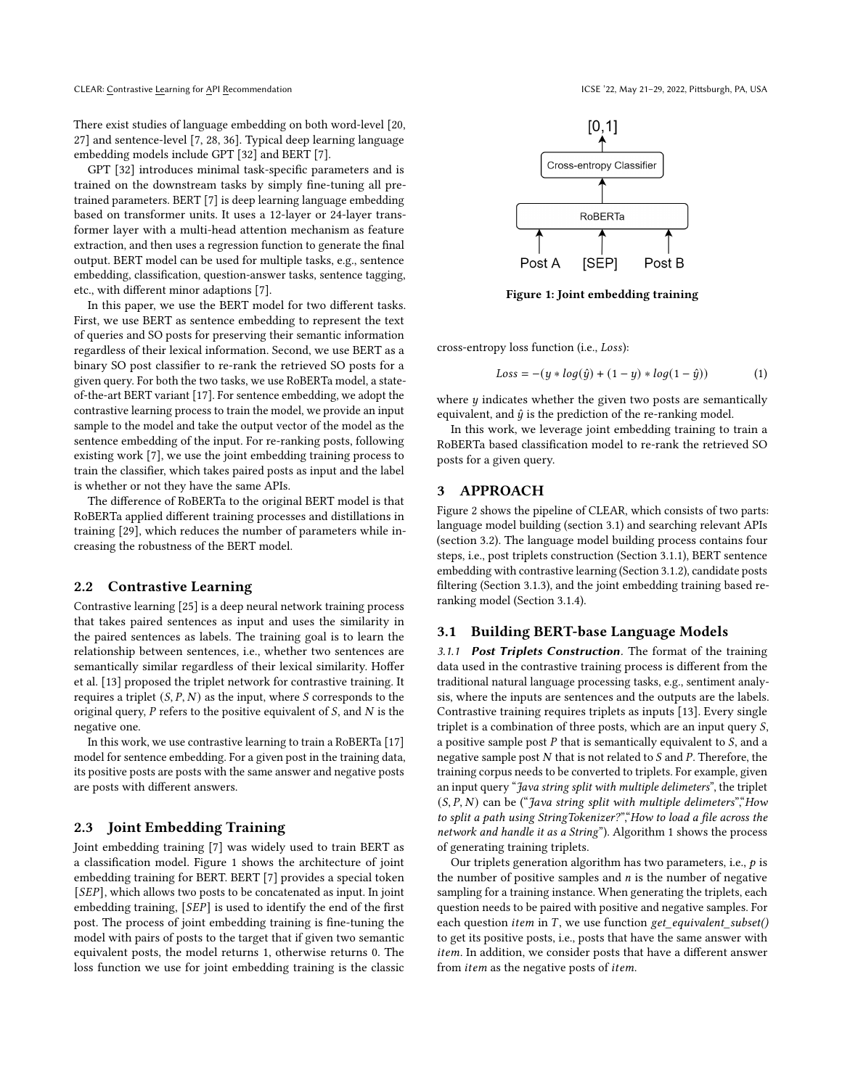There exist studies of language embedding on both word-level [\[20,](#page-10-9) [27\]](#page-11-9) and sentence-level [\[7,](#page-10-7) [28,](#page-11-7) [36\]](#page-11-8). Typical deep learning language embedding models include GPT [\[32\]](#page-11-10) and BERT [\[7\]](#page-10-7).

GPT [\[32\]](#page-11-10) introduces minimal task-specific parameters and is trained on the downstream tasks by simply fine-tuning all pretrained parameters. BERT [\[7\]](#page-10-7) is deep learning language embedding based on transformer units. It uses a 12-layer or 24-layer transformer layer with a multi-head attention mechanism as feature extraction, and then uses a regression function to generate the final output. BERT model can be used for multiple tasks, e.g., sentence embedding, classification, question-answer tasks, sentence tagging, etc., with different minor adaptions [\[7\]](#page-10-7).

In this paper, we use the BERT model for two different tasks. First, we use BERT as sentence embedding to represent the text of queries and SO posts for preserving their semantic information regardless of their lexical information. Second, we use BERT as a binary SO post classifier to re-rank the retrieved SO posts for a given query. For both the two tasks, we use RoBERTa model, a stateof-the-art BERT variant [\[17\]](#page-10-10). For sentence embedding, we adopt the contrastive learning process to train the model, we provide an input sample to the model and take the output vector of the model as the sentence embedding of the input. For re-ranking posts, following existing work [\[7\]](#page-10-7), we use the joint embedding training process to train the classifier, which takes paired posts as input and the label is whether or not they have the same APIs.

The difference of RoBERTa to the original BERT model is that RoBERTa applied different training processes and distillations in training [\[29\]](#page-11-11), which reduces the number of parameters while increasing the robustness of the BERT model.

#### 2.2 Contrastive Learning

Contrastive learning [\[25\]](#page-11-6) is a deep neural network training process that takes paired sentences as input and uses the similarity in the paired sentences as labels. The training goal is to learn the relationship between sentences, i.e., whether two sentences are semantically similar regardless of their lexical similarity. Hoffer et al. [\[13\]](#page-10-11) proposed the triplet network for contrastive training. It requires a triplet  $(S, P, N)$  as the input, where S corresponds to the original query,  $P$  refers to the positive equivalent of  $S$ , and  $N$  is the negative one.

In this work, we use contrastive learning to train a RoBERTa [\[17\]](#page-10-10) model for sentence embedding. For a given post in the training data, its positive posts are posts with the same answer and negative posts are posts with different answers.

## 2.3 Joint Embedding Training

Joint embedding training [\[7\]](#page-10-7) was widely used to train BERT as a classification model. Figure [1](#page-2-1) shows the architecture of joint embedding training for BERT. BERT [\[7\]](#page-10-7) provides a special token [SEP], which allows two posts to be concatenated as input. In joint embedding training, [SEP] is used to identify the end of the first post. The process of joint embedding training is fine-tuning the model with pairs of posts to the target that if given two semantic equivalent posts, the model returns 1, otherwise returns 0. The loss function we use for joint embedding training is the classic

<span id="page-2-1"></span>

Figure 1: Joint embedding training

cross-entropy loss function (i.e., Loss):

$$
Loss = -(y * log(\hat{y}) + (1 - y) * log(1 - \hat{y}))
$$
 (1)

where  $y$  indicates whether the given two posts are semantically equivalent, and  $\hat{y}$  is the prediction of the re-ranking model.

In this work, we leverage joint embedding training to train a RoBERTa based classification model to re-rank the retrieved SO posts for a given query.

# <span id="page-2-0"></span>3 APPROACH

Figure [2](#page-3-0) shows the pipeline of CLEAR, which consists of two parts: language model building (section [3.1\)](#page-2-2) and searching relevant APIs (section [3.2\)](#page-4-1). The language model building process contains four steps, i.e., post triplets construction (Section [3.1.1\)](#page-2-3), BERT sentence embedding with contrastive learning (Section [3.1.2\)](#page-3-1), candidate posts filtering (Section [3.1.3\)](#page-3-2), and the joint embedding training based reranking model (Section [3.1.4\)](#page-4-2).

#### <span id="page-2-2"></span>3.1 Building BERT-base Language Models

<span id="page-2-3"></span>3.1.1 Post Triplets Construction. The format of the training data used in the contrastive training process is different from the traditional natural language processing tasks, e.g., sentiment analysis, where the inputs are sentences and the outputs are the labels. Contrastive training requires triplets as inputs [\[13\]](#page-10-11). Every single triplet is a combination of three posts, which are an input query  $S$ , a positive sample post  $P$  that is semantically equivalent to  $S$ , and a negative sample post  $N$  that is not related to  $S$  and  $P$ . Therefore, the training corpus needs to be converted to triplets. For example, given an input query "Java string split with multiple delimeters", the triplet  $(S, P, N)$  can be ("Java string split with multiple delimeters", How to split a path using StringTokenizer?","How to load a file across the network and handle it as a String"). Algorithm [1](#page-3-3) shows the process of generating training triplets.

Our triplets generation algorithm has two parameters, i.e.,  $p$  is the number of positive samples and  $n$  is the number of negative sampling for a training instance. When generating the triplets, each question needs to be paired with positive and negative samples. For each question *item* in  $T$ , we use function  $get\_equivalent\_subset()$ to get its positive posts, i.e., posts that have the same answer with item. In addition, we consider posts that have a different answer from *item* as the negative posts of *item*.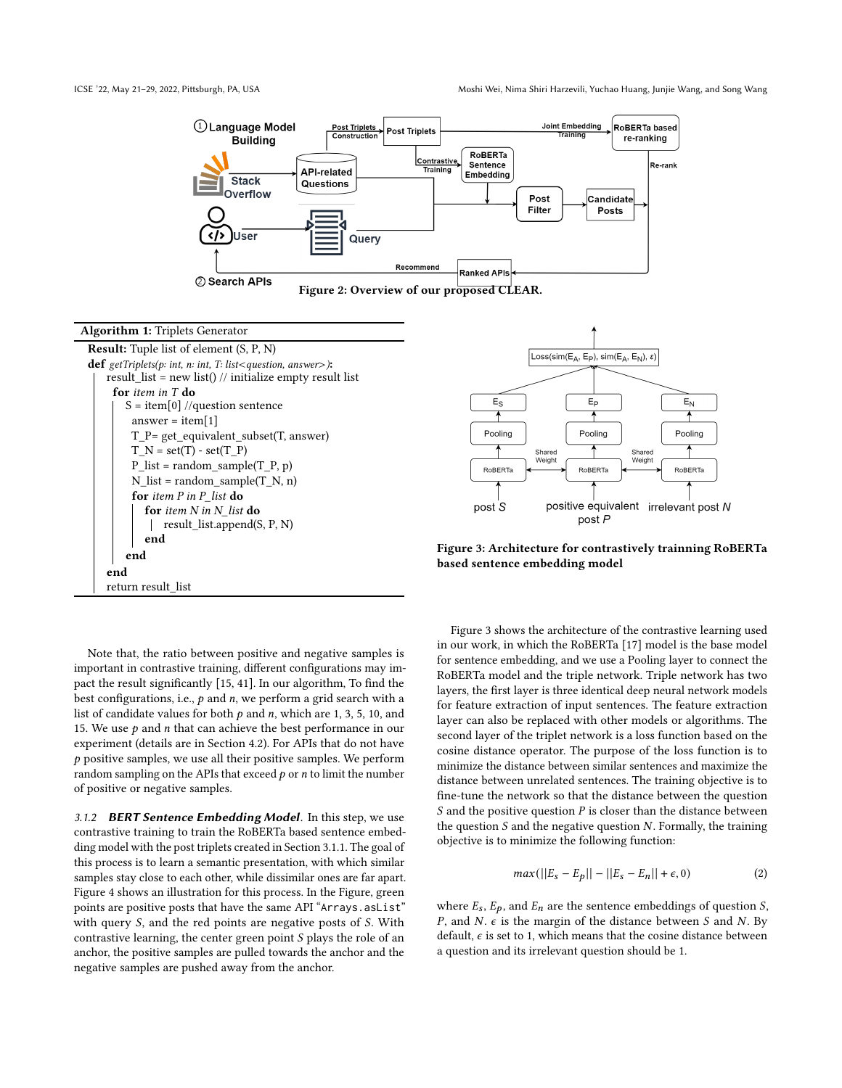<span id="page-3-0"></span>



<span id="page-3-3"></span>Result: Tuple list of element (S, P, N) def  $getTriplets(p: int, n: int, T: list < question, answer>):$ result\_list = new list() // initialize empty result list for item in T do  $S = item[0]/question$  sentence answer = item $[1]$ T\_P= get\_equivalent\_subset(T, answer)  $T_N = set(T) - set(T_P)$  $P_{\text{list}} = \text{random\_sample}(T_P, p)$  $N_$ list = random\_sample( $T_N$ , n) for item P in P list do for item N in N list do result\_list.append(S, P, N) end end end return result\_list

Note that, the ratio between positive and negative samples is important in contrastive training, different configurations may impact the result significantly [\[15,](#page-10-12) [41\]](#page-11-12). In our algorithm, To find the best configurations, i.e.,  $p$  and  $n$ , we perform a grid search with a list of candidate values for both  $p$  and  $n$ , which are 1, 3, 5, 10, and 15. We use  $p$  and  $n$  that can achieve the best performance in our experiment (details are in Section [4.2\)](#page-4-3). For APIs that do not have  $p$  positive samples, we use all their positive samples. We perform random sampling on the APIs that exceed  $p$  or  $n$  to limit the number of positive or negative samples.

<span id="page-3-1"></span>3.1.2 BERT Sentence Embedding Model. In this step, we use contrastive training to train the RoBERTa based sentence embedding model with the post triplets created in Section [3.1.1.](#page-2-3) The goal of this process is to learn a semantic presentation, with which similar samples stay close to each other, while dissimilar ones are far apart. Figure [4](#page-4-4) shows an illustration for this process. In the Figure, green points are positive posts that have the same API "Arrays.asList" with query  $S$ , and the red points are negative posts of  $S$ . With contrastive learning, the center green point  $S$  plays the role of an anchor, the positive samples are pulled towards the anchor and the negative samples are pushed away from the anchor.

<span id="page-3-4"></span>

Figure 3: Architecture for contrastively trainning RoBERTa based sentence embedding model

Figure [3](#page-3-4) shows the architecture of the contrastive learning used in our work, in which the RoBERTa [\[17\]](#page-10-10) model is the base model for sentence embedding, and we use a Pooling layer to connect the RoBERTa model and the triple network. Triple network has two layers, the first layer is three identical deep neural network models for feature extraction of input sentences. The feature extraction layer can also be replaced with other models or algorithms. The second layer of the triplet network is a loss function based on the cosine distance operator. The purpose of the loss function is to minimize the distance between similar sentences and maximize the distance between unrelated sentences. The training objective is to fine-tune the network so that the distance between the question S and the positive question  $P$  is closer than the distance between the question  $S$  and the negative question  $N$ . Formally, the training objective is to minimize the following function:

$$
max(||E_s - E_p|| - ||E_s - E_n|| + \epsilon, 0)
$$
\n(2)

<span id="page-3-2"></span>where  $E_s$ ,  $E_p$ , and  $E_n$  are the sentence embeddings of question S, P, and N.  $\epsilon$  is the margin of the distance between S and N. By default,  $\epsilon$  is set to 1, which means that the cosine distance between a question and its irrelevant question should be 1.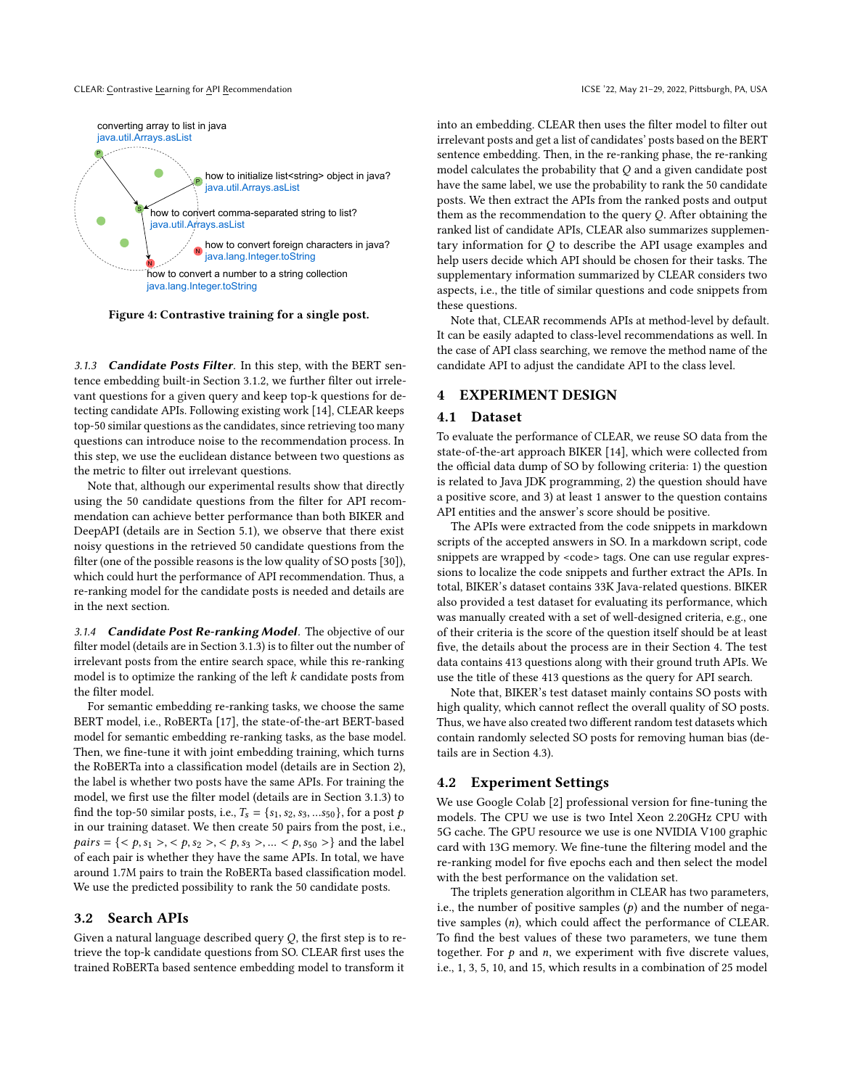#### CLEAR: Contrastive Learning for API Recommendation **ICSE 122, May 21-29, 2022, Pittsburgh, PA, USA**

<span id="page-4-4"></span>

Figure 4: Contrastive training for a single post.

3.1.3 **Candidate Posts Filter**. In this step, with the BERT sentence embedding built-in Section [3.1.2,](#page-3-1) we further filter out irrelevant questions for a given query and keep top-k questions for detecting candidate APIs. Following existing work [\[14\]](#page-10-1), CLEAR keeps top-50 similar questions as the candidates, since retrieving too many questions can introduce noise to the recommendation process. In this step, we use the euclidean distance between two questions as the metric to filter out irrelevant questions.

Note that, although our experimental results show that directly using the 50 candidate questions from the filter for API recommendation can achieve better performance than both BIKER and DeepAPI (details are in Section [5.1\)](#page-6-1), we observe that there exist noisy questions in the retrieved 50 candidate questions from the filter (one of the possible reasons is the low quality of SO posts [\[30\]](#page-11-13)), which could hurt the performance of API recommendation. Thus, a re-ranking model for the candidate posts is needed and details are in the next section.

<span id="page-4-2"></span>3.1.4 Candidate Post Re-ranking Model. The objective of our filter model (details are in Section [3.1.3\)](#page-3-2) is to filter out the number of irrelevant posts from the entire search space, while this re-ranking model is to optimize the ranking of the left  $k$  candidate posts from the filter model.

For semantic embedding re-ranking tasks, we choose the same BERT model, i.e., RoBERTa [\[17\]](#page-10-10), the state-of-the-art BERT-based model for semantic embedding re-ranking tasks, as the base model. Then, we fine-tune it with joint embedding training, which turns the RoBERTa into a classification model (details are in Section [2\)](#page-1-5), the label is whether two posts have the same APIs. For training the model, we first use the filter model (details are in Section [3.1.3\)](#page-3-2) to find the top-50 similar posts, i.e.,  $T_s = \{s_1, s_2, s_3, ... s_{50}\}\,$  for a post p in our training dataset. We then create 50 pairs from the post, i.e.,  $pairs = \{, , , ...  and the label$ of each pair is whether they have the same APIs. In total, we have around 1.7M pairs to train the RoBERTa based classification model. We use the predicted possibility to rank the 50 candidate posts.

#### <span id="page-4-1"></span>3.2 Search APIs

Given a natural language described query  $Q$ , the first step is to retrieve the top-k candidate questions from SO. CLEAR first uses the trained RoBERTa based sentence embedding model to transform it

into an embedding. CLEAR then uses the filter model to filter out irrelevant posts and get a list of candidates' posts based on the BERT sentence embedding. Then, in the re-ranking phase, the re-ranking model calculates the probability that  $Q$  and a given candidate post have the same label, we use the probability to rank the 50 candidate posts. We then extract the APIs from the ranked posts and output them as the recommendation to the query  $Q$ . After obtaining the ranked list of candidate APIs, CLEAR also summarizes supplementary information for  $Q$  to describe the API usage examples and help users decide which API should be chosen for their tasks. The supplementary information summarized by CLEAR considers two aspects, i.e., the title of similar questions and code snippets from these questions.

Note that, CLEAR recommends APIs at method-level by default. It can be easily adapted to class-level recommendations as well. In the case of API class searching, we remove the method name of the candidate API to adjust the candidate API to the class level.

## <span id="page-4-0"></span>**EXPERIMENT DESIGN**

## 4.1 Dataset

To evaluate the performance of CLEAR, we reuse SO data from the state-of-the-art approach BIKER [\[14\]](#page-10-1), which were collected from the official data dump of SO by following criteria: 1) the question is related to Java JDK programming, 2) the question should have a positive score, and 3) at least 1 answer to the question contains API entities and the answer's score should be positive.

The APIs were extracted from the code snippets in markdown scripts of the accepted answers in SO. In a markdown script, code snippets are wrapped by <code>tags. One can use regular expressions to localize the code snippets and further extract the APIs. In total, BIKER's dataset contains 33K Java-related questions. BIKER also provided a test dataset for evaluating its performance, which was manually created with a set of well-designed criteria, e.g., one of their criteria is the score of the question itself should be at least five, the details about the process are in their Section 4. The test data contains 413 questions along with their ground truth APIs. We use the title of these 413 questions as the query for API search.

Note that, BIKER's test dataset mainly contains SO posts with high quality, which cannot reflect the overall quality of SO posts. Thus, we have also created two different random test datasets which contain randomly selected SO posts for removing human bias (details are in Section [4.3\)](#page-5-0).

#### <span id="page-4-3"></span>4.2 Experiment Settings

We use Google Colab [\[2\]](#page-10-13) professional version for fine-tuning the models. The CPU we use is two Intel Xeon 2.20GHz CPU with 5G cache. The GPU resource we use is one NVIDIA V100 graphic card with 13G memory. We fine-tune the filtering model and the re-ranking model for five epochs each and then select the model with the best performance on the validation set.

The triplets generation algorithm in CLEAR has two parameters, i.e., the number of positive samples  $(p)$  and the number of negative samples  $(n)$ , which could affect the performance of CLEAR. To find the best values of these two parameters, we tune them together. For  $p$  and  $n$ , we experiment with five discrete values, i.e., 1, 3, 5, 10, and 15, which results in a combination of 25 model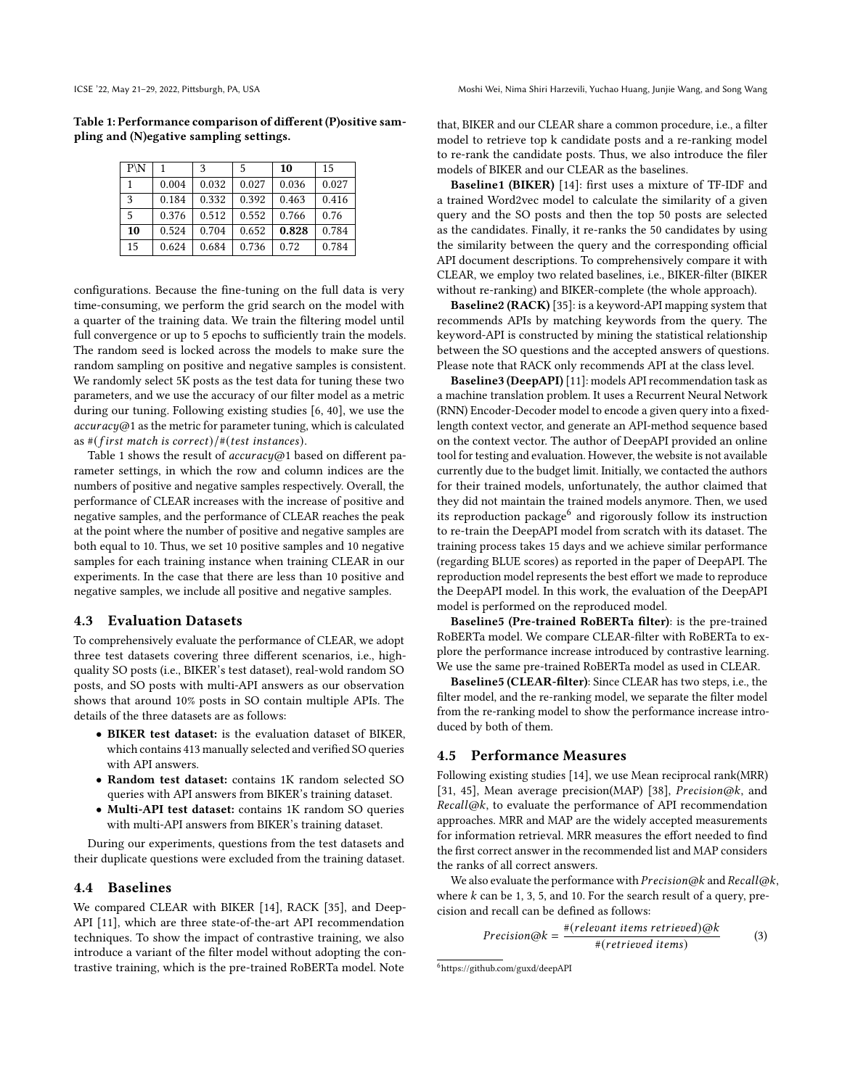<span id="page-5-1"></span>Table 1: Performance comparison of different (P)ositive sampling and (N)egative sampling settings.

| $P\backslash N$ |       | 3     | 5     | 10    | 15    |
|-----------------|-------|-------|-------|-------|-------|
| 1               | 0.004 | 0.032 | 0.027 | 0.036 | 0.027 |
| 3               | 0.184 | 0.332 | 0.392 | 0.463 | 0.416 |
| 5               | 0.376 | 0.512 | 0.552 | 0.766 | 0.76  |
| 10              | 0.524 | 0.704 | 0.652 | 0.828 | 0.784 |
| 15              | 0.624 | 0.684 | 0.736 | 0.72  | 0.784 |

configurations. Because the fine-tuning on the full data is very time-consuming, we perform the grid search on the model with a quarter of the training data. We train the filtering model until full convergence or up to 5 epochs to sufficiently train the models. The random seed is locked across the models to make sure the random sampling on positive and negative samples is consistent. We randomly select 5K posts as the test data for tuning these two parameters, and we use the accuracy of our filter model as a metric during our tuning. Following existing studies [\[6,](#page-10-14) [40\]](#page-11-14), we use the  $accuracy@1$  as the metric for parameter tuning, which is calculated as  $#( first match is correct) /#( test instances).$ 

Table [1](#page-5-1) shows the result of  $accuracy@1$  based on different parameter settings, in which the row and column indices are the numbers of positive and negative samples respectively. Overall, the performance of CLEAR increases with the increase of positive and negative samples, and the performance of CLEAR reaches the peak at the point where the number of positive and negative samples are both equal to 10. Thus, we set 10 positive samples and 10 negative samples for each training instance when training CLEAR in our experiments. In the case that there are less than 10 positive and negative samples, we include all positive and negative samples.

# <span id="page-5-0"></span>4.3 Evaluation Datasets

To comprehensively evaluate the performance of CLEAR, we adopt three test datasets covering three different scenarios, i.e., highquality SO posts (i.e., BIKER's test dataset), real-wold random SO posts, and SO posts with multi-API answers as our observation shows that around 10% posts in SO contain multiple APIs. The details of the three datasets are as follows:

- BIKER test dataset: is the evaluation dataset of BIKER, which contains 413 manually selected and verified SO queries with API answers.
- Random test dataset: contains 1K random selected SO queries with API answers from BIKER's training dataset.
- Multi-API test dataset: contains 1K random SO queries with multi-API answers from BIKER's training dataset.

During our experiments, questions from the test datasets and their duplicate questions were excluded from the training dataset.

#### <span id="page-5-3"></span>4.4 Baselines

We compared CLEAR with BIKER [\[14\]](#page-10-1), RACK [\[35\]](#page-11-4), and Deep-API [\[11\]](#page-10-0), which are three state-of-the-art API recommendation techniques. To show the impact of contrastive training, we also introduce a variant of the filter model without adopting the contrastive training, which is the pre-trained RoBERTa model. Note

that, BIKER and our CLEAR share a common procedure, i.e., a filter model to retrieve top k candidate posts and a re-ranking model to re-rank the candidate posts. Thus, we also introduce the filer models of BIKER and our CLEAR as the baselines.

Baseline1 (BIKER) [\[14\]](#page-10-1): first uses a mixture of TF-IDF and a trained Word2vec model to calculate the similarity of a given query and the SO posts and then the top 50 posts are selected as the candidates. Finally, it re-ranks the 50 candidates by using the similarity between the query and the corresponding official API document descriptions. To comprehensively compare it with CLEAR, we employ two related baselines, i.e., BIKER-filter (BIKER without re-ranking) and BIKER-complete (the whole approach).

Baseline2 (RACK) [\[35\]](#page-11-4): is a keyword-API mapping system that recommends APIs by matching keywords from the query. The keyword-API is constructed by mining the statistical relationship between the SO questions and the accepted answers of questions. Please note that RACK only recommends API at the class level.

Baseline3 (DeepAPI) [\[11\]](#page-10-0): models API recommendation task as a machine translation problem. It uses a Recurrent Neural Network (RNN) Encoder-Decoder model to encode a given query into a fixedlength context vector, and generate an API-method sequence based on the context vector. The author of DeepAPI provided an online tool for testing and evaluation. However, the website is not available currently due to the budget limit. Initially, we contacted the authors for their trained models, unfortunately, the author claimed that they did not maintain the trained models anymore. Then, we used its reproduction package<sup>[6](#page-5-2)</sup> and rigorously follow its instruction to re-train the DeepAPI model from scratch with its dataset. The training process takes 15 days and we achieve similar performance (regarding BLUE scores) as reported in the paper of DeepAPI. The reproduction model represents the best effort we made to reproduce the DeepAPI model. In this work, the evaluation of the DeepAPI model is performed on the reproduced model.

Baseline5 (Pre-trained RoBERTa filter): is the pre-trained RoBERTa model. We compare CLEAR-filter with RoBERTa to explore the performance increase introduced by contrastive learning. We use the same pre-trained RoBERTa model as used in CLEAR.

Baseline5 (CLEAR-filter): Since CLEAR has two steps, i.e., the filter model, and the re-ranking model, we separate the filter model from the re-ranking model to show the performance increase introduced by both of them.

## 4.5 Performance Measures

Following existing studies [\[14\]](#page-10-1), we use Mean reciprocal rank(MRR) [\[31,](#page-11-15) [45\]](#page-11-16), Mean average precision(MAP) [\[38\]](#page-11-17), Precision@k, and  $Recall@k$ , to evaluate the performance of API recommendation approaches. MRR and MAP are the widely accepted measurements for information retrieval. MRR measures the effort needed to find the first correct answer in the recommended list and MAP considers the ranks of all correct answers.

We also evaluate the performance with  $Precision@k$  and  $Recall@k$ , where  $k$  can be 1, 3, 5, and 10. For the search result of a query, precision and recall can be defined as follows:

$$
Precision@k = \frac{\#(relevant \ items \ retrieved)@k}{\#(retrieved \ items)}
$$
(3)

<span id="page-5-2"></span><sup>6</sup>https://github.com/guxd/deepAPI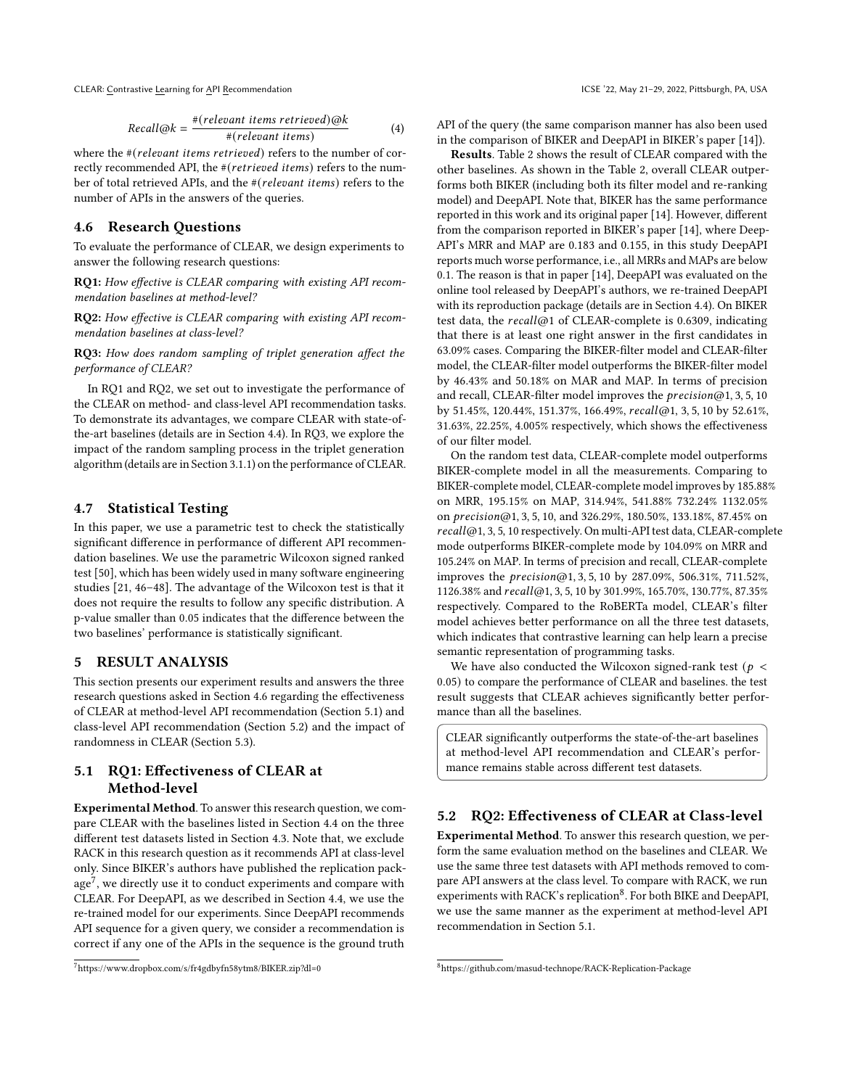CLEAR: Contrastive Learning for API Recommendation **ICSE 122, May 21-29, 2022, Pittsburgh, PA, USA** 

Recall@k = 
$$
\frac{\#(relevant \ items \ retrieved)@k}{\#(relevant \ items)}
$$
 (4)

where the  $# (relevant items retrieved)$  refers to the number of correctly recommended API, the  $#(retrieved items)$  refers to the number of total retrieved APIs, and the  $# ( relevant items)$  refers to the number of APIs in the answers of the queries.

## <span id="page-6-2"></span>4.6 Research Questions

To evaluate the performance of CLEAR, we design experiments to answer the following research questions:

RQ1: How effective is CLEAR comparing with existing API recommendation baselines at method-level?

RQ2: How effective is CLEAR comparing with existing API recommendation baselines at class-level?

RQ3: How does random sampling of triplet generation affect the performance of CLEAR?

In RQ1 and RQ2, we set out to investigate the performance of the CLEAR on method- and class-level API recommendation tasks. To demonstrate its advantages, we compare CLEAR with state-ofthe-art baselines (details are in Section [4.4\)](#page-5-3). In RQ3, we explore the impact of the random sampling process in the triplet generation algorithm (details are in Section [3.1.1\)](#page-2-3) on the performance of CLEAR.

## 4.7 Statistical Testing

In this paper, we use a parametric test to check the statistically significant difference in performance of different API recommendation baselines. We use the parametric Wilcoxon signed ranked test [\[50\]](#page-11-18), which has been widely used in many software engineering studies [\[21,](#page-10-15) [46](#page-11-19)[–48\]](#page-11-20). The advantage of the Wilcoxon test is that it does not require the results to follow any specific distribution. A p-value smaller than 0.05 indicates that the difference between the two baselines' performance is statistically significant.

#### <span id="page-6-0"></span>5 RESULT ANALYSIS

This section presents our experiment results and answers the three research questions asked in Section [4.6](#page-6-2) regarding the effectiveness of CLEAR at method-level API recommendation (Section [5.1\)](#page-6-1) and class-level API recommendation (Section [5.2\)](#page-6-3) and the impact of randomness in CLEAR (Section [5.3\)](#page-7-0).

# <span id="page-6-1"></span>5.1 RQ1: Effectiveness of CLEAR at Method-level

Experimental Method. To answer this research question, we compare CLEAR with the baselines listed in Section [4.4](#page-5-3) on the three different test datasets listed in Section [4.3.](#page-5-0) Note that, we exclude RACK in this research question as it recommends API at class-level only. Since BIKER's authors have published the replication pack- $age<sup>7</sup>$  $age<sup>7</sup>$  $age<sup>7</sup>$ , we directly use it to conduct experiments and compare with CLEAR. For DeepAPI, as we described in Section [4.4,](#page-5-3) we use the re-trained model for our experiments. Since DeepAPI recommends API sequence for a given query, we consider a recommendation is correct if any one of the APIs in the sequence is the ground truth

API of the query (the same comparison manner has also been used in the comparison of BIKER and DeepAPI in BIKER's paper [\[14\]](#page-10-1)).

Results. Table [2](#page-7-1) shows the result of CLEAR compared with the other baselines. As shown in the Table [2,](#page-7-1) overall CLEAR outperforms both BIKER (including both its filter model and re-ranking model) and DeepAPI. Note that, BIKER has the same performance reported in this work and its original paper [\[14\]](#page-10-1). However, different from the comparison reported in BIKER's paper [\[14\]](#page-10-1), where Deep-API's MRR and MAP are 0.183 and 0.155, in this study DeepAPI reports much worse performance, i.e., all MRRs and MAPs are below 0.1. The reason is that in paper [\[14\]](#page-10-1), DeepAPI was evaluated on the online tool released by DeepAPI's authors, we re-trained DeepAPI with its reproduction package (details are in Section [4.4\)](#page-5-3). On BIKER test data, the  $recall@1$  of CLEAR-complete is 0.6309, indicating that there is at least one right answer in the first candidates in 63.09% cases. Comparing the BIKER-filter model and CLEAR-filter model, the CLEAR-filter model outperforms the BIKER-filter model by 46.43% and 50.18% on MAR and MAP. In terms of precision and recall, CLEAR-filter model improves the  $precision@1, 3, 5, 10$ by 51.45%, 120.44%, 151.37%, 166.49%,  $recall@1, 3, 5, 10$  by 52.61%, 31.63%, 22.25%, 4.005% respectively, which shows the effectiveness of our filter model.

On the random test data, CLEAR-complete model outperforms BIKER-complete model in all the measurements. Comparing to BIKER-complete model, CLEAR-complete model improves by 185.88% on MRR, 195.15% on MAP, 314.94%, 541.88% 732.24% 1132.05% on precision@1, 3, 5, 10, and 326.29%, 180.50%, 133.18%, 87.45% on @1, 3, 5, 10 respectively. On multi-API test data, CLEAR-complete mode outperforms BIKER-complete mode by 104.09% on MRR and 105.24% on MAP. In terms of precision and recall, CLEAR-complete improves the  $precision(@1, 3, 5, 10$  by 287.09%, 506.31%, 711.52%, 1126.38% and  $recall@1, 3, 5, 10 by 301.99%, 165.70%, 130.77%, 87.35%$ respectively. Compared to the RoBERTa model, CLEAR's filter model achieves better performance on all the three test datasets, which indicates that contrastive learning can help learn a precise semantic representation of programming tasks.

We have also conducted the Wilcoxon signed-rank test ( $p <$ 0.05) to compare the performance of CLEAR and baselines. the test result suggests that CLEAR achieves significantly better performance than all the baselines.

CLEAR significantly outperforms the state-of-the-art baselines at method-level API recommendation and CLEAR's performance remains stable across different test datasets.

# <span id="page-6-3"></span>5.2 RQ2: Effectiveness of CLEAR at Class-level

Experimental Method. To answer this research question, we perform the same evaluation method on the baselines and CLEAR. We use the same three test datasets with API methods removed to compare API answers at the class level. To compare with RACK, we run experiments with RACK's replication<sup>[8](#page-6-5)</sup>. For both BIKE and DeepAPI, we use the same manner as the experiment at method-level API recommendation in Section [5.1.](#page-6-1)

<span id="page-6-4"></span><sup>7</sup>https://www.dropbox.com/s/fr4gdbyfn58ytm8/BIKER.zip?dl=0

<span id="page-6-5"></span><sup>8</sup>https://github.com/masud-technope/RACK-Replication-Package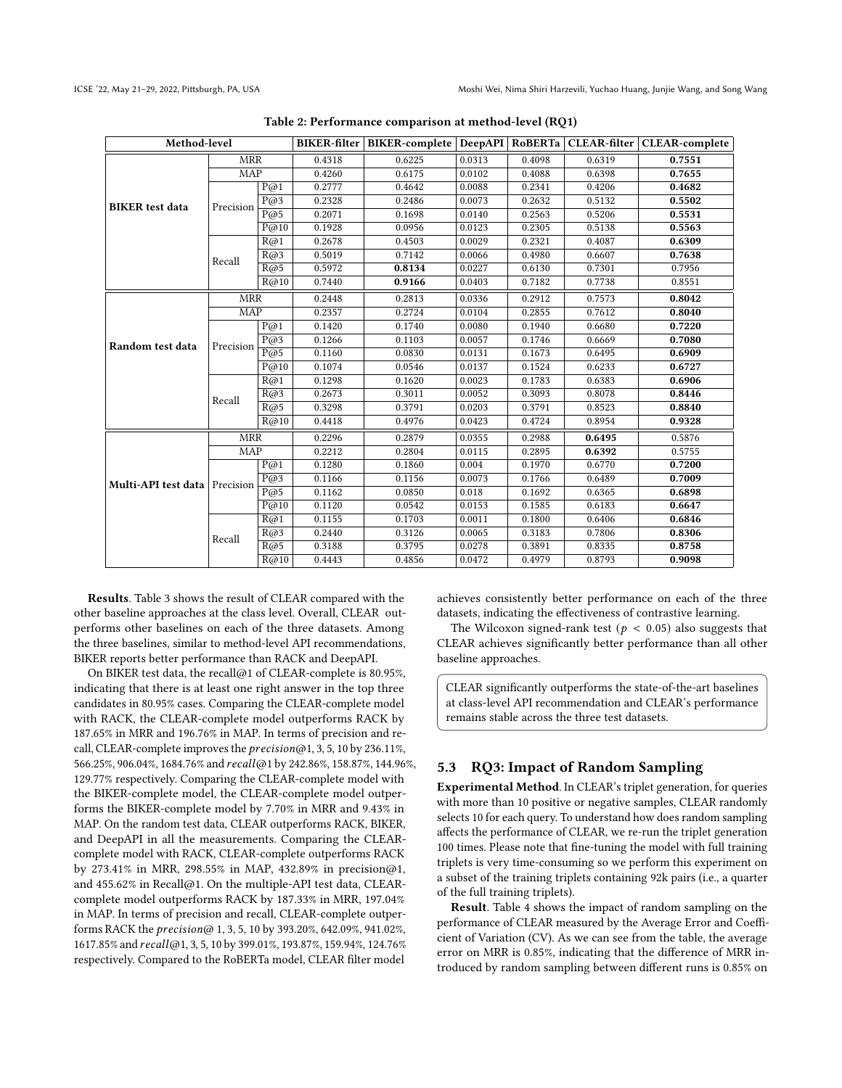<span id="page-7-1"></span>

| Method-level                  |            |                        |        | BIKER-filter   BIKER-complete   DeepAPI |        |        |        | RoBERTa CLEAR-filter   CLEAR-complete |
|-------------------------------|------------|------------------------|--------|-----------------------------------------|--------|--------|--------|---------------------------------------|
|                               | <b>MRR</b> |                        | 0.4318 | 0.6225                                  | 0.0313 | 0.4098 | 0.6319 | 0.7551                                |
|                               | MAP        |                        | 0.4260 | 0.6175                                  | 0.0102 | 0.4088 | 0.6398 | 0.7655                                |
|                               |            | P@1                    | 0.2777 | 0.4642                                  | 0.0088 | 0.2341 | 0.4206 | 0.4682                                |
| <b>BIKER</b> test data        | Precision  | P@3                    | 0.2328 | 0.2486                                  | 0.0073 | 0.2632 | 0.5132 | 0.5502                                |
|                               |            | P@5                    | 0.2071 | 0.1698                                  | 0.0140 | 0.2563 | 0.5206 | 0.5531                                |
|                               |            | P@10                   | 0.1928 | 0.0956                                  | 0.0123 | 0.2305 | 0.5138 | 0.5563                                |
|                               |            | R@1                    | 0.2678 | 0.4503                                  | 0.0029 | 0.2321 | 0.4087 | 0.6309                                |
|                               | Recall     | R@3                    | 0.5019 | 0.7142                                  | 0.0066 | 0.4980 | 0.6607 | 0.7638                                |
|                               |            | R@5                    | 0.5972 | 0.8134                                  | 0.0227 | 0.6130 | 0.7301 | 0.7956                                |
|                               |            | R@10                   | 0.7440 | 0.9166                                  | 0.0403 | 0.7182 | 0.7738 | 0.8551                                |
|                               | <b>MRR</b> |                        | 0.2448 | 0.2813                                  | 0.0336 | 0.2912 | 0.7573 | 0.8042                                |
|                               | <b>MAP</b> |                        | 0.2357 | 0.2724                                  | 0.0104 | 0.2855 | 0.7612 | 0.8040                                |
|                               | Precision  | $\overline{P\omega}$ 1 | 0.1420 | 0.1740                                  | 0.0080 | 0.1940 | 0.6680 | 0.7220                                |
| Random test data              |            | P@3                    | 0.1266 | 0.1103                                  | 0.0057 | 0.1746 | 0.6669 | 0.7080                                |
|                               |            | P@5                    | 0.1160 | 0.0830                                  | 0.0131 | 0.1673 | 0.6495 | 0.6909                                |
|                               |            | P@10                   | 0.1074 | 0.0546                                  | 0.0137 | 0.1524 | 0.6233 | 0.6727                                |
|                               | Recall     | R@1                    | 0.1298 | 0.1620                                  | 0.0023 | 0.1783 | 0.6383 | 0.6906                                |
|                               |            | R@3                    | 0.2673 | 0.3011                                  | 0.0052 | 0.3093 | 0.8078 | 0.8446                                |
|                               |            | R@5                    | 0.3298 | 0.3791                                  | 0.0203 | 0.3791 | 0.8523 | 0.8840                                |
|                               |            | R@10                   | 0.4418 | 0.4976                                  | 0.0423 | 0.4724 | 0.8954 | 0.9328                                |
|                               | <b>MRR</b> |                        | 0.2296 | 0.2879                                  | 0.0355 | 0.2988 | 0.6495 | 0.5876                                |
|                               | MAP        |                        | 0.2212 | 0.2804                                  | 0.0115 | 0.2895 | 0.6392 | 0.5755                                |
|                               |            | P@1                    | 0.1280 | 0.1860                                  | 0.004  | 0.1970 | 0.6770 | 0.7200                                |
| Multi-API test data Precision |            | P@3                    | 0.1166 | 0.1156                                  | 0.0073 | 0.1766 | 0.6489 | 0.7009                                |
|                               |            | $\overline{P\omega 5}$ | 0.1162 | 0.0850                                  | 0.018  | 0.1692 | 0.6365 | 0.6898                                |
|                               |            | P@10                   | 0.1120 | 0.0542                                  | 0.0153 | 0.1585 | 0.6183 | 0.6647                                |
|                               | Recall     | R@1                    | 0.1155 | 0.1703                                  | 0.0011 | 0.1800 | 0.6406 | 0.6846                                |
|                               |            | R@3                    | 0.2440 | 0.3126                                  | 0.0065 | 0.3183 | 0.7806 | 0.8306                                |
|                               |            | R@5                    | 0.3188 | 0.3795                                  | 0.0278 | 0.3891 | 0.8335 | 0.8758                                |
|                               |            | R@10                   | 0.4443 | 0.4856                                  | 0.0472 | 0.4979 | 0.8793 | 0.9098                                |

Table 2: Performance comparison at method-level (RQ1)

Results. Table [3](#page-8-1) shows the result of CLEAR compared with the other baseline approaches at the class level. Overall, CLEAR outperforms other baselines on each of the three datasets. Among the three baselines, similar to method-level API recommendations, BIKER reports better performance than RACK and DeepAPI.

On BIKER test data, the recall@1 of CLEAR-complete is 80.95%, indicating that there is at least one right answer in the top three candidates in 80.95% cases. Comparing the CLEAR-complete model with RACK, the CLEAR-complete model outperforms RACK by 187.65% in MRR and 196.76% in MAP. In terms of precision and recall, CLEAR-complete improves the  $precision@1$ , 3, 5, 10 by 236.11%, 566.25%, 906.04%, 1684.76% and recall@1 by 242.86%, 158.87%, 144.96%, 129.77% respectively. Comparing the CLEAR-complete model with the BIKER-complete model, the CLEAR-complete model outperforms the BIKER-complete model by 7.70% in MRR and 9.43% in MAP. On the random test data, CLEAR outperforms RACK, BIKER, and DeepAPI in all the measurements. Comparing the CLEARcomplete model with RACK, CLEAR-complete outperforms RACK by 273.41% in MRR, 298.55% in MAP, 432.89% in precision@1, and 455.62% in Recall@1. On the multiple-API test data, CLEARcomplete model outperforms RACK by 187.33% in MRR, 197.04% in MAP. In terms of precision and recall, CLEAR-complete outperforms RACK the *precision*@ 1, 3, 5, 10 by 393.20%, 642.09%, 941.02%, 1617.85% and  $recall@1, 3, 5, 10 by 399.01%, 193.87%, 159.94%, 124.76%$ respectively. Compared to the RoBERTa model, CLEAR filter model

achieves consistently better performance on each of the three datasets, indicating the effectiveness of contrastive learning.

The Wilcoxon signed-rank test ( $p < 0.05$ ) also suggests that CLEAR achieves significantly better performance than all other baseline approaches.

CLEAR significantly outperforms the state-of-the-art baselines at class-level API recommendation and CLEAR's performance remains stable across the three test datasets.

# <span id="page-7-0"></span>5.3 RQ3: Impact of Random Sampling

Experimental Method. In CLEAR's triplet generation, for queries with more than 10 positive or negative samples, CLEAR randomly selects 10 for each query. To understand how does random sampling affects the performance of CLEAR, we re-run the triplet generation 100 times. Please note that fine-tuning the model with full training triplets is very time-consuming so we perform this experiment on a subset of the training triplets containing 92k pairs (i.e., a quarter of the full training triplets).

Result. Table [4](#page-8-2) shows the impact of random sampling on the performance of CLEAR measured by the Average Error and Coefficient of Variation (CV). As we can see from the table, the average error on MRR is 0.85%, indicating that the difference of MRR introduced by random sampling between different runs is 0.85% on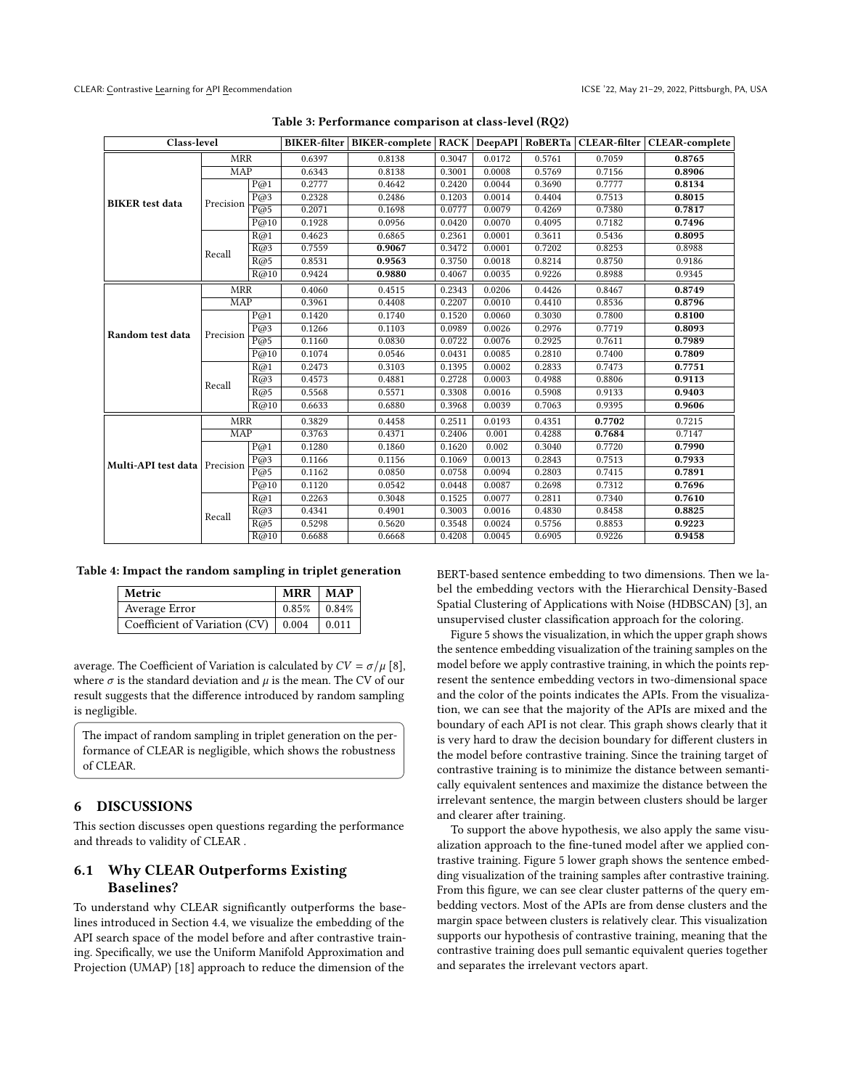<span id="page-8-1"></span>

| Class-level                   |                         |      |        |        |        |        |        |        | BIKER-filter   BIKER-complete   RACK   DeepAPI   RoBERTa   CLEAR-filter   CLEAR-complete |
|-------------------------------|-------------------------|------|--------|--------|--------|--------|--------|--------|------------------------------------------------------------------------------------------|
|                               | <b>MRR</b>              |      | 0.6397 | 0.8138 | 0.3047 | 0.0172 | 0.5761 | 0.7059 | 0.8765                                                                                   |
|                               | <b>MAP</b>              |      | 0.6343 | 0.8138 | 0.3001 | 0.0008 | 0.5769 | 0.7156 | 0.8906                                                                                   |
|                               |                         | P@1  | 0.2777 | 0.4642 | 0.2420 | 0.0044 | 0.3690 | 0.7777 | 0.8134                                                                                   |
| <b>BIKER</b> test data        | Precision               | P@3  | 0.2328 | 0.2486 | 0.1203 | 0.0014 | 0.4404 | 0.7513 | 0.8015                                                                                   |
|                               |                         | P@5  | 0.2071 | 0.1698 | 0.0777 | 0.0079 | 0.4269 | 0.7380 | 0.7817                                                                                   |
|                               |                         | P@10 | 0.1928 | 0.0956 | 0.0420 | 0.0070 | 0.4095 | 0.7182 | 0.7496                                                                                   |
|                               |                         | R@1  | 0.4623 | 0.6865 | 0.2361 | 0.0001 | 0.3611 | 0.5436 | 0.8095                                                                                   |
|                               | Recall                  | R@3  | 0.7559 | 0.9067 | 0.3472 | 0.0001 | 0.7202 | 0.8253 | 0.8988                                                                                   |
|                               |                         | R@5  | 0.8531 | 0.9563 | 0.3750 | 0.0018 | 0.8214 | 0.8750 | 0.9186                                                                                   |
|                               |                         | R@10 | 0.9424 | 0.9880 | 0.4067 | 0.0035 | 0.9226 | 0.8988 | 0.9345                                                                                   |
|                               | <b>MRR</b>              |      | 0.4060 | 0.4515 | 0.2343 | 0.0206 | 0.4426 | 0.8467 | 0.8749                                                                                   |
|                               | $\overline{\text{MAP}}$ |      | 0.3961 | 0.4408 | 0.2207 | 0.0010 | 0.4410 | 0.8536 | 0.8796                                                                                   |
|                               | Precision               | P@1  | 0.1420 | 0.1740 | 0.1520 | 0.0060 | 0.3030 | 0.7800 | 0.8100                                                                                   |
| Random test data              |                         | P@3  | 0.1266 | 0.1103 | 0.0989 | 0.0026 | 0.2976 | 0.7719 | 0.8093                                                                                   |
|                               |                         | P@5  | 0.1160 | 0.0830 | 0.0722 | 0.0076 | 0.2925 | 0.7611 | 0.7989                                                                                   |
|                               |                         | P@10 | 0.1074 | 0.0546 | 0.0431 | 0.0085 | 0.2810 | 0.7400 | 0.7809                                                                                   |
|                               | Recall                  | R@1  | 0.2473 | 0.3103 | 0.1395 | 0.0002 | 0.2833 | 0.7473 | 0.7751                                                                                   |
|                               |                         | R@3  | 0.4573 | 0.4881 | 0.2728 | 0.0003 | 0.4988 | 0.8806 | 0.9113                                                                                   |
|                               |                         | R@5  | 0.5568 | 0.5571 | 0.3308 | 0.0016 | 0.5908 | 0.9133 | 0.9403                                                                                   |
|                               | R@10                    |      | 0.6633 | 0.6880 | 0.3968 | 0.0039 | 0.7063 | 0.9395 | 0.9606                                                                                   |
|                               | <b>MRR</b>              |      | 0.3829 | 0.4458 | 0.2511 | 0.0193 | 0.4351 | 0.7702 | 0.7215                                                                                   |
|                               | MAP                     |      | 0.3763 | 0.4371 | 0.2406 | 0.001  | 0.4288 | 0.7684 | 0.7147                                                                                   |
|                               |                         | P@1  | 0.1280 | 0.1860 | 0.1620 | 0.002  | 0.3040 | 0.7720 | 0.7990                                                                                   |
| Multi-API test data Precision |                         | P@3  | 0.1166 | 0.1156 | 0.1069 | 0.0013 | 0.2843 | 0.7513 | 0.7933                                                                                   |
|                               |                         | P@5  | 0.1162 | 0.0850 | 0.0758 | 0.0094 | 0.2803 | 0.7415 | 0.7891                                                                                   |
|                               |                         | P@10 | 0.1120 | 0.0542 | 0.0448 | 0.0087 | 0.2698 | 0.7312 | 0.7696                                                                                   |
|                               |                         | R@1  | 0.2263 | 0.3048 | 0.1525 | 0.0077 | 0.2811 | 0.7340 | 0.7610                                                                                   |
|                               | Recall                  | R@3  | 0.4341 | 0.4901 | 0.3003 | 0.0016 | 0.4830 | 0.8458 | 0.8825                                                                                   |
|                               |                         | R@5  | 0.5298 | 0.5620 | 0.3548 | 0.0024 | 0.5756 | 0.8853 | 0.9223                                                                                   |
|                               |                         | R@10 | 0.6688 | 0.6668 | 0.4208 | 0.0045 | 0.6905 | 0.9226 | 0.9458                                                                                   |

Table 3: Performance comparison at class-level (RQ2)

#### <span id="page-8-2"></span>Table 4: Impact the random sampling in triplet generation

| Metric                                        | $MRR$   MAP     |  |  |
|-----------------------------------------------|-----------------|--|--|
| Average Error                                 | $0.85\%$ 0.84\% |  |  |
| Coefficient of Variation (CV)   0.004   0.011 |                 |  |  |

average. The Coefficient of Variation is calculated by  $CV = \sigma / \mu$  [\[8\]](#page-10-16), where  $\sigma$  is the standard deviation and  $\mu$  is the mean. The CV of our result suggests that the difference introduced by random sampling is negligible.

The impact of random sampling in triplet generation on the performance of CLEAR is negligible, which shows the robustness of CLEAR.

## <span id="page-8-0"></span>6 DISCUSSIONS

This section discusses open questions regarding the performance and threads to validity of CLEAR .

# 6.1 Why CLEAR Outperforms Existing Baselines?

To understand why CLEAR significantly outperforms the baselines introduced in Section [4.4,](#page-5-3) we visualize the embedding of the API search space of the model before and after contrastive training. Specifically, we use the Uniform Manifold Approximation and Projection (UMAP) [\[18\]](#page-10-17) approach to reduce the dimension of the

BERT-based sentence embedding to two dimensions. Then we label the embedding vectors with the Hierarchical Density-Based Spatial Clustering of Applications with Noise (HDBSCAN) [\[3\]](#page-10-18), an unsupervised cluster classification approach for the coloring.

Figure [5](#page-9-1) shows the visualization, in which the upper graph shows the sentence embedding visualization of the training samples on the model before we apply contrastive training, in which the points represent the sentence embedding vectors in two-dimensional space and the color of the points indicates the APIs. From the visualization, we can see that the majority of the APIs are mixed and the boundary of each API is not clear. This graph shows clearly that it is very hard to draw the decision boundary for different clusters in the model before contrastive training. Since the training target of contrastive training is to minimize the distance between semantically equivalent sentences and maximize the distance between the irrelevant sentence, the margin between clusters should be larger and clearer after training.

To support the above hypothesis, we also apply the same visualization approach to the fine-tuned model after we applied contrastive training. Figure [5](#page-9-1) lower graph shows the sentence embedding visualization of the training samples after contrastive training. From this figure, we can see clear cluster patterns of the query embedding vectors. Most of the APIs are from dense clusters and the margin space between clusters is relatively clear. This visualization supports our hypothesis of contrastive training, meaning that the contrastive training does pull semantic equivalent queries together and separates the irrelevant vectors apart.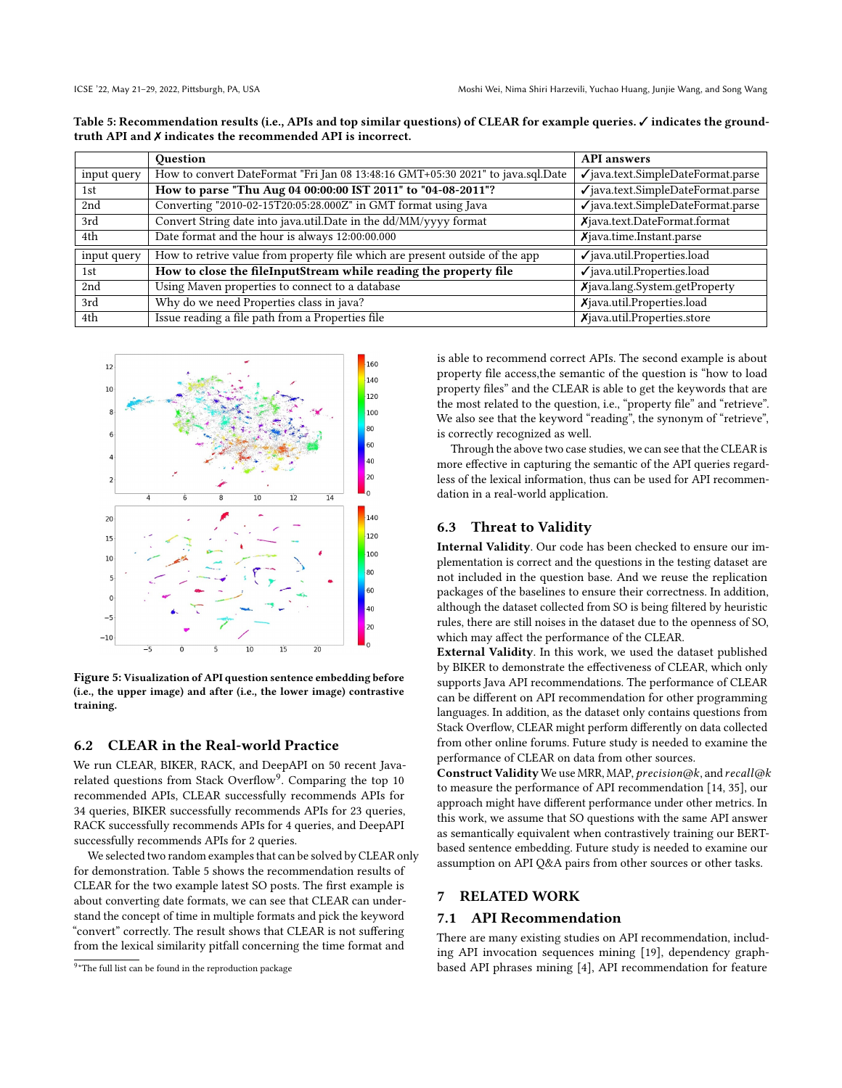|             | <b>Ouestion</b>                                                                 | <b>API</b> answers                            |
|-------------|---------------------------------------------------------------------------------|-----------------------------------------------|
| input query | How to convert DateFormat "Fri Jan 08 13:48:16 GMT+05:30 2021" to java.sql.Date | $\checkmark$ java.text.SimpleDateFormat.parse |
| 1st         | How to parse "Thu Aug 04 00:00:00 IST 2011" to "04-08-2011"?                    | $\sqrt{}$ java.text.SimpleDateFormat.parse    |
| 2nd         | Converting "2010-02-15T20:05:28.000Z" in GMT format using Java                  | $\checkmark$ java.text.SimpleDateFormat.parse |
| 3rd         | Convert String date into java.util.Date in the dd/MM/yyyy format                | Xjava.text.DateFormat.format                  |
| 4th         | Date format and the hour is always 12:00:00.000                                 | $X$ java.time.Instant.parse                   |
| input query | How to retrive value from property file which are present outside of the app    | $\checkmark$ java.util.Properties.load        |
| 1st         | How to close the fileInputStream while reading the property file                | $\checkmark$ java.util.Properties.load        |
| 2nd         | Using Maven properties to connect to a database                                 | Xjava.lang.System.getProperty                 |
| 3rd         | Why do we need Properties class in java?                                        | Xjava.util.Properties.load                    |
| 4th         | Issue reading a file path from a Properties file                                | $X$ java.util.Properties.store                |

<span id="page-9-3"></span>Table 5: Recommendation results (i.e., APIs and top similar questions) of CLEAR for example queries. √ indicates the groundtruth API and ✗ indicates the recommended API is incorrect.

<span id="page-9-1"></span>

Figure 5: Visualization of API question sentence embedding before (i.e., the upper image) and after (i.e., the lower image) contrastive training.

# 6.2 CLEAR in the Real-world Practice

We run CLEAR, BIKER, RACK, and DeepAPI on 50 recent Java-related questions from Stack Overflow<sup>[9](#page-9-2)</sup>. Comparing the top 10 recommended APIs, CLEAR successfully recommends APIs for 34 queries, BIKER successfully recommends APIs for 23 queries, RACK successfully recommends APIs for 4 queries, and DeepAPI successfully recommends APIs for 2 queries.

We selected two random examples that can be solved by CLEAR only for demonstration. Table [5](#page-9-3) shows the recommendation results of CLEAR for the two example latest SO posts. The first example is about converting date formats, we can see that CLEAR can understand the concept of time in multiple formats and pick the keyword "convert" correctly. The result shows that CLEAR is not suffering from the lexical similarity pitfall concerning the time format and

<span id="page-9-2"></span><sup>9\*</sup>The full list can be found in the reproduction package

is able to recommend correct APIs. The second example is about property file access,the semantic of the question is "how to load property files" and the CLEAR is able to get the keywords that are the most related to the question, i.e., "property file" and "retrieve". We also see that the keyword "reading", the synonym of "retrieve", is correctly recognized as well.

Through the above two case studies, we can see that the CLEAR is more effective in capturing the semantic of the API queries regardless of the lexical information, thus can be used for API recommendation in a real-world application.

#### 6.3 Threat to Validity

Internal Validity. Our code has been checked to ensure our implementation is correct and the questions in the testing dataset are not included in the question base. And we reuse the replication packages of the baselines to ensure their correctness. In addition, although the dataset collected from SO is being filtered by heuristic rules, there are still noises in the dataset due to the openness of SO, which may affect the performance of the CLEAR.

External Validity. In this work, we used the dataset published by BIKER to demonstrate the effectiveness of CLEAR, which only supports Java API recommendations. The performance of CLEAR can be different on API recommendation for other programming languages. In addition, as the dataset only contains questions from Stack Overflow, CLEAR might perform differently on data collected from other online forums. Future study is needed to examine the performance of CLEAR on data from other sources.

Construct Validity We use MRR, MAP, precision@k, and recall@k to measure the performance of API recommendation [\[14,](#page-10-1) [35\]](#page-11-4), our approach might have different performance under other metrics. In this work, we assume that SO questions with the same API answer as semantically equivalent when contrastively training our BERTbased sentence embedding. Future study is needed to examine our assumption on API Q&A pairs from other sources or other tasks.

# <span id="page-9-0"></span>7 RELATED WORK

# 7.1 API Recommendation

There are many existing studies on API recommendation, including API invocation sequences mining [\[19\]](#page-10-19), dependency graphbased API phrases mining [\[4\]](#page-10-20), API recommendation for feature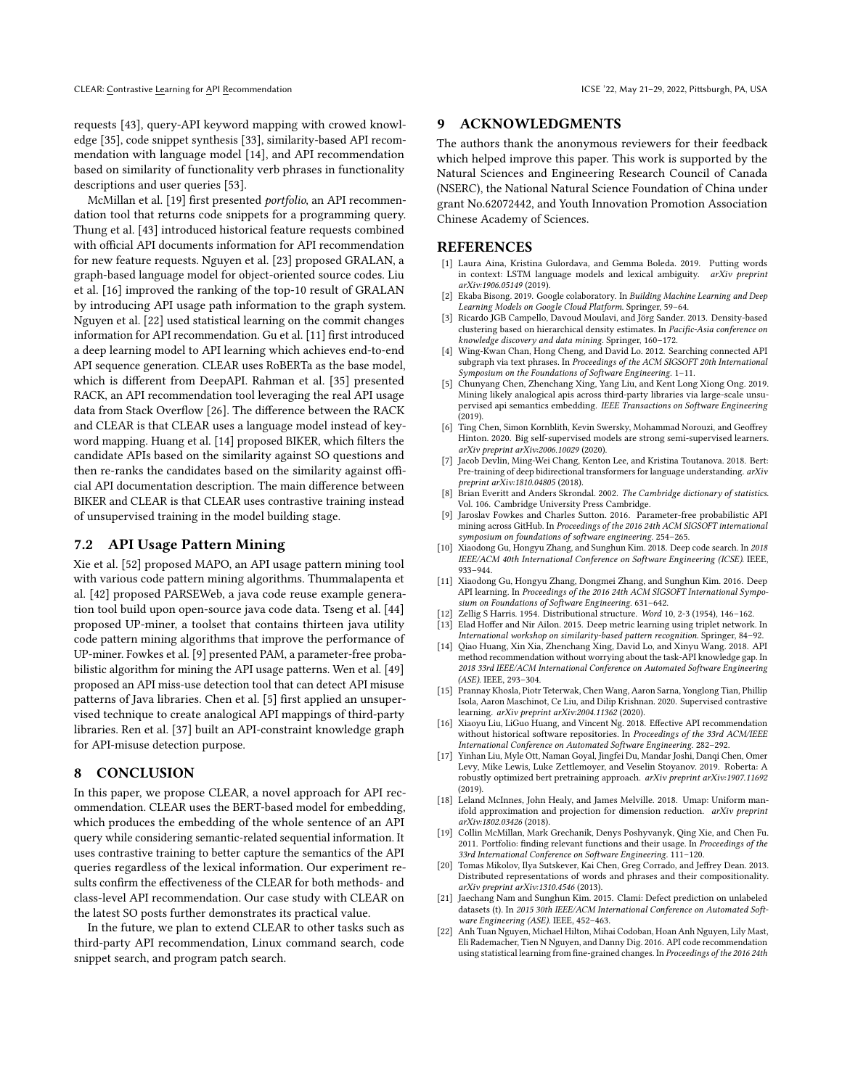requests [\[43\]](#page-11-21), query-API keyword mapping with crowed knowledge [\[35\]](#page-11-4), code snippet synthesis [\[33\]](#page-11-22), similarity-based API recommendation with language model [\[14\]](#page-10-1), and API recommendation based on similarity of functionality verb phrases in functionality descriptions and user queries [\[53\]](#page-11-23).

McMillan et al. [\[19\]](#page-10-19) first presented portfolio, an API recommendation tool that returns code snippets for a programming query. Thung et al. [\[43\]](#page-11-21) introduced historical feature requests combined with official API documents information for API recommendation for new feature requests. Nguyen et al. [\[23\]](#page-11-24) proposed GRALAN, a graph-based language model for object-oriented source codes. Liu et al. [\[16\]](#page-10-2) improved the ranking of the top-10 result of GRALAN by introducing API usage path information to the graph system. Nguyen et al. [\[22\]](#page-10-3) used statistical learning on the commit changes information for API recommendation. Gu et al. [\[11\]](#page-10-0) first introduced a deep learning model to API learning which achieves end-to-end API sequence generation. CLEAR uses RoBERTa as the base model, which is different from DeepAPI. Rahman et al. [\[35\]](#page-11-4) presented RACK, an API recommendation tool leveraging the real API usage data from Stack Overflow [\[26\]](#page-11-25). The difference between the RACK and CLEAR is that CLEAR uses a language model instead of keyword mapping. Huang et al. [\[14\]](#page-10-1) proposed BIKER, which filters the candidate APIs based on the similarity against SO questions and then re-ranks the candidates based on the similarity against official API documentation description. The main difference between BIKER and CLEAR is that CLEAR uses contrastive training instead of unsupervised training in the model building stage.

# 7.2 API Usage Pattern Mining

Xie et al. [\[52\]](#page-11-26) proposed MAPO, an API usage pattern mining tool with various code pattern mining algorithms. Thummalapenta et al. [\[42\]](#page-11-27) proposed PARSEWeb, a java code reuse example generation tool build upon open-source java code data. Tseng et al. [\[44\]](#page-11-28) proposed UP-miner, a toolset that contains thirteen java utility code pattern mining algorithms that improve the performance of UP-miner. Fowkes et al. [\[9\]](#page-10-21) presented PAM, a parameter-free probabilistic algorithm for mining the API usage patterns. Wen et al. [\[49\]](#page-11-29) proposed an API miss-use detection tool that can detect API misuse patterns of Java libraries. Chen et al. [\[5\]](#page-10-22) first applied an unsupervised technique to create analogical API mappings of third-party libraries. Ren et al. [\[37\]](#page-11-30) built an API-constraint knowledge graph for API-misuse detection purpose.

#### <span id="page-10-8"></span>8 CONCLUSION

In this paper, we propose CLEAR, a novel approach for API recommendation. CLEAR uses the BERT-based model for embedding, which produces the embedding of the whole sentence of an API query while considering semantic-related sequential information. It uses contrastive training to better capture the semantics of the API queries regardless of the lexical information. Our experiment results confirm the effectiveness of the CLEAR for both methods- and class-level API recommendation. Our case study with CLEAR on the latest SO posts further demonstrates its practical value.

In the future, we plan to extend CLEAR to other tasks such as third-party API recommendation, Linux command search, code snippet search, and program patch search.

#### 9 ACKNOWLEDGMENTS

The authors thank the anonymous reviewers for their feedback which helped improve this paper. This work is supported by the Natural Sciences and Engineering Research Council of Canada (NSERC), the National Natural Science Foundation of China under grant No.62072442, and Youth Innovation Promotion Association Chinese Academy of Sciences.

## **REFERENCES**

- <span id="page-10-5"></span>[1] Laura Aina, Kristina Gulordava, and Gemma Boleda. 2019. Putting words in context: LSTM language models and lexical ambiguity. arXiv:1906.05149 (2019).
- <span id="page-10-13"></span>Ekaba Bisong. 2019. Google colaboratory. In Building Machine Learning and Deep Learning Models on Google Cloud Platform. Springer, 59–64.
- <span id="page-10-18"></span>[3] Ricardo JGB Campello, Davoud Moulavi, and Jörg Sander. 2013. Density-based clustering based on hierarchical density estimates. In Pacific-Asia conference on knowledge discovery and data mining. Springer, 160–172.
- <span id="page-10-20"></span>[4] Wing-Kwan Chan, Hong Cheng, and David Lo. 2012. Searching connected API subgraph via text phrases. In Proceedings of the ACM SIGSOFT 20th International Symposium on the Foundations of Software Engineering. 1–11.
- <span id="page-10-22"></span>[5] Chunyang Chen, Zhenchang Xing, Yang Liu, and Kent Long Xiong Ong. 2019. Mining likely analogical apis across third-party libraries via large-scale unsupervised api semantics embedding. IEEE Transactions on Software Engineering  $(2019)$ .
- <span id="page-10-14"></span>[6] Ting Chen, Simon Kornblith, Kevin Swersky, Mohammad Norouzi, and Geoffrey Hinton. 2020. Big self-supervised models are strong semi-supervised learners. arXiv preprint arXiv:2006.10029 (2020).
- <span id="page-10-7"></span>Jacob Devlin, Ming-Wei Chang, Kenton Lee, and Kristina Toutanova. 2018. Bert: Pre-training of deep bidirectional transformers for language understanding. arXiv preprint arXiv:1810.04805 (2018).
- <span id="page-10-16"></span>[8] Brian Everitt and Anders Skrondal. 2002. The Cambridge dictionary of statistics. Vol. 106. Cambridge University Press Cambridge.
- <span id="page-10-21"></span>[9] Jaroslav Fowkes and Charles Sutton. 2016. Parameter-free probabilistic API mining across GitHub. In Proceedings of the 2016 24th ACM SIGSOFT international symposium on foundations of software engineering. 254–265.
- <span id="page-10-6"></span>[10] Xiaodong Gu, Hongyu Zhang, and Sunghun Kim. 2018. Deep code search. In 2018 IEEE/ACM 40th International Conference on Software Engineering (ICSE). IEEE, 933–944.
- <span id="page-10-0"></span>[11] Xiaodong Gu, Hongyu Zhang, Dongmei Zhang, and Sunghun Kim. 2016. Deep API learning. In Proceedings of the 2016 24th ACM SIGSOFT International Symposium on Foundations of Software Engineering. 631–642.
- <span id="page-10-4"></span>[12] Zellig S Harris. 1954. Distributional structure. Word 10, 2-3 (1954), 146–162.
- <span id="page-10-11"></span>Elad Hoffer and Nir Ailon. 2015. Deep metric learning using triplet network. In International workshop on similarity-based pattern recognition. Springer, 84–92.
- <span id="page-10-1"></span>[14] Qiao Huang, Xin Xia, Zhenchang Xing, David Lo, and Xinyu Wang. 2018. API method recommendation without worrying about the task-API knowledge gap. In 2018 33rd IEEE/ACM International Conference on Automated Software Engineering (ASE). IEEE, 293–304.
- <span id="page-10-12"></span>[15] Prannay Khosla, Piotr Teterwak, Chen Wang, Aaron Sarna, Yonglong Tian, Phillip Isola, Aaron Maschinot, Ce Liu, and Dilip Krishnan. 2020. Supervised contrastive learning. arXiv preprint arXiv:2004.11362 (2020).
- <span id="page-10-2"></span>[16] Xiaoyu Liu, LiGuo Huang, and Vincent Ng. 2018. Effective API recommendation without historical software repositories. In Proceedings of the 33rd ACM/IEEE International Conference on Automated Software Engineering. 282–292.
- <span id="page-10-10"></span>[17] Yinhan Liu, Myle Ott, Naman Goyal, Jingfei Du, Mandar Joshi, Danqi Chen, Omer Levy, Mike Lewis, Luke Zettlemoyer, and Veselin Stoyanov. 2019. Roberta: A robustly optimized bert pretraining approach. arXiv preprint arXiv:1907.11692  $(2019)$
- <span id="page-10-17"></span>[18] Leland McInnes, John Healy, and James Melville. 2018. Umap: Uniform manifold approximation and projection for dimension reduction. arXiv preprint arXiv:1802.03426 (2018).
- <span id="page-10-19"></span>[19] Collin McMillan, Mark Grechanik, Denys Poshyvanyk, Qing Xie, and Chen Fu. 2011. Portfolio: finding relevant functions and their usage. In Proceedings of the 33rd International Conference on Software Engineering. 111–120.
- <span id="page-10-9"></span>[20] Tomas Mikolov, Ilya Sutskever, Kai Chen, Greg Corrado, and Jeffrey Dean. 2013. Distributed representations of words and phrases and their compositionality. arXiv preprint arXiv:1310.4546 (2013).
- <span id="page-10-15"></span>[21] Jaechang Nam and Sunghun Kim. 2015. Clami: Defect prediction on unlabeled datasets (t). In 2015 30th IEEE/ACM International Conference on Automated Software Engineering (ASE). IEEE, 452–463.
- <span id="page-10-3"></span>[22] Anh Tuan Nguyen, Michael Hilton, Mihai Codoban, Hoan Anh Nguyen, Lily Mast, Eli Rademacher, Tien N Nguyen, and Danny Dig. 2016. API code recommendation using statistical learning from fine-grained changes. In Proceedings of the 2016 24th